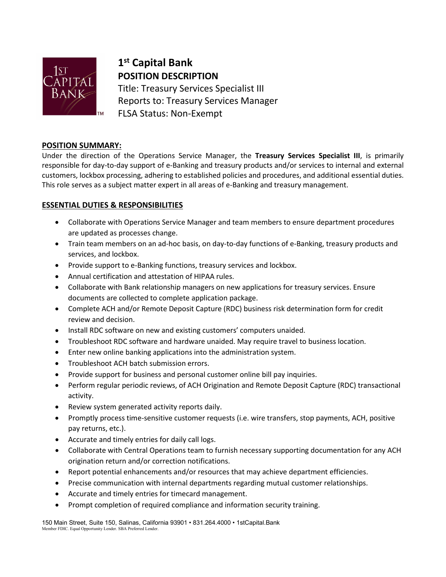

# **1st Capital Bank POSITION DESCRIPTION**

Title: Treasury Services Specialist III Reports to: Treasury Services Manager FLSA Status: Non-Exempt

## **POSITION SUMMARY:**

Under the direction of the Operations Service Manager, the **Treasury Services Specialist III**, is primarily responsible for day-to-day support of e-Banking and treasury products and/or services to internal and external customers, lockbox processing, adhering to established policies and procedures, and additional essential duties. This role serves as a subject matter expert in all areas of e-Banking and treasury management.

# **ESSENTIAL DUTIES & RESPONSIBILITIES**

- Collaborate with Operations Service Manager and team members to ensure department procedures are updated as processes change.
- Train team members on an ad-hoc basis, on day-to-day functions of e-Banking, treasury products and services, and lockbox.
- Provide support to e-Banking functions, treasury services and lockbox.
- Annual certification and attestation of HIPAA rules.
- Collaborate with Bank relationship managers on new applications for treasury services. Ensure documents are collected to complete application package.
- Complete ACH and/or Remote Deposit Capture (RDC) business risk determination form for credit review and decision.
- Install RDC software on new and existing customers' computers unaided.
- Troubleshoot RDC software and hardware unaided. May require travel to business location.
- Enter new online banking applications into the administration system.
- Troubleshoot ACH batch submission errors.
- Provide support for business and personal customer online bill pay inquiries.
- Perform regular periodic reviews, of ACH Origination and Remote Deposit Capture (RDC) transactional activity.
- Review system generated activity reports daily.
- Promptly process time-sensitive customer requests (i.e. wire transfers, stop payments, ACH, positive pay returns, etc.).
- Accurate and timely entries for daily call logs.
- Collaborate with Central Operations team to furnish necessary supporting documentation for any ACH origination return and/or correction notifications.
- Report potential enhancements and/or resources that may achieve department efficiencies.
- Precise communication with internal departments regarding mutual customer relationships.
- Accurate and timely entries for timecard management.
- Prompt completion of required compliance and information security training.

150 Main Street, Suite 150, Salinas, California 93901 • 831.264.4000 • 1stCapital.Bank Member FDIC. Equal Opportunity Lender. SBA Preferred Lender.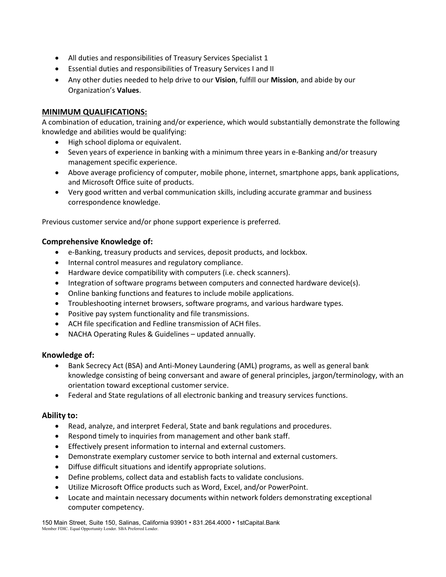- All duties and responsibilities of Treasury Services Specialist 1
- Essential duties and responsibilities of Treasury Services I and II
- Any other duties needed to help drive to our **Vision**, fulfill our **Mission**, and abide by our Organization's **Values**.

## **MINIMUM QUALIFICATIONS:**

A combination of education, training and/or experience, which would substantially demonstrate the following knowledge and abilities would be qualifying:

- High school diploma or equivalent.
- Seven years of experience in banking with a minimum three years in e-Banking and/or treasury management specific experience.
- Above average proficiency of computer, mobile phone, internet, smartphone apps, bank applications, and Microsoft Office suite of products.
- Very good written and verbal communication skills, including accurate grammar and business correspondence knowledge.

Previous customer service and/or phone support experience is preferred.

## **Comprehensive Knowledge of:**

- e-Banking, treasury products and services, deposit products, and lockbox.
- Internal control measures and regulatory compliance.
- Hardware device compatibility with computers (i.e. check scanners).
- Integration of software programs between computers and connected hardware device(s).
- Online banking functions and features to include mobile applications.
- Troubleshooting internet browsers, software programs, and various hardware types.
- Positive pay system functionality and file transmissions.
- ACH file specification and Fedline transmission of ACH files.
- NACHA Operating Rules & Guidelines updated annually.

# **Knowledge of:**

- Bank Secrecy Act (BSA) and Anti-Money Laundering (AML) programs, as well as general bank knowledge consisting of being conversant and aware of general principles, jargon/terminology, with an orientation toward exceptional customer service.
- Federal and State regulations of all electronic banking and treasury services functions.

#### **Ability to:**

- Read, analyze, and interpret Federal, State and bank regulations and procedures.
- Respond timely to inquiries from management and other bank staff.
- Effectively present information to internal and external customers.
- Demonstrate exemplary customer service to both internal and external customers.
- Diffuse difficult situations and identify appropriate solutions.
- Define problems, collect data and establish facts to validate conclusions.
- Utilize Microsoft Office products such as Word, Excel, and/or PowerPoint.
- Locate and maintain necessary documents within network folders demonstrating exceptional computer competency.

150 Main Street, Suite 150, Salinas, California 93901 • 831.264.4000 • 1stCapital.Bank Member FDIC. Equal Opportunity Lender. SBA Preferred Lender.